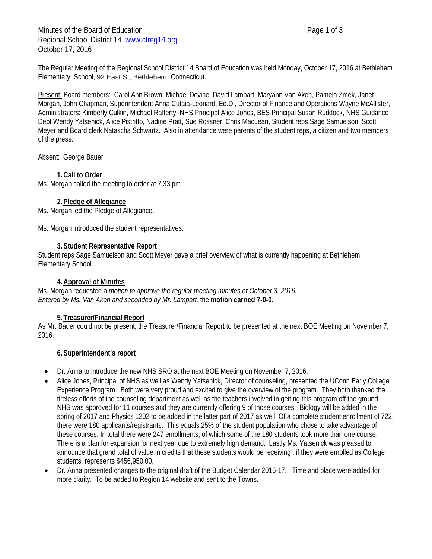Minutes of the Board of Education **Page 1 of 3** Page 1 of 3 Regional School District 14 [www.ctreg14.org](http://www.ctreg14.org/) October 17, 2016

The Regular Meeting of the Regional School District 14 Board of Education was held Monday, October 17, 2016 at Bethlehem Elementary School, 92 East St, Bethlehem, Connecticut.

Present: Board members: Carol Ann Brown, Michael Devine, David Lampart, Maryann Van Aken, Pamela Zmek, Janet Morgan, John Chapman, Superintendent Anna Cutaia-Leonard, Ed.D., Director of Finance and Operations Wayne McAllister, Administrators: Kimberly Culkin, Michael Rafferty, NHS Principal Alice Jones, BES Principal Susan Ruddock, NHS Guidance Dept Wendy Yatsenick, Alice Pistritto, Nadine Pratt, Sue Rossner, Chris MacLean, Student reps Sage Samuelson, Scott Meyer and Board clerk Natascha Schwartz. Also in attendance were parents of the student reps, a citizen and two members of the press.

Absent: George Bauer

### **1.Call to Order**

Ms. Morgan called the meeting to order at 7:33 pm.

### **2.Pledge of Allegiance**

Ms. Morgan led the Pledge of Allegiance.

Ms. Morgan introduced the student representatives.

#### **3.Student Representative Report**

Student reps Sage Samuelson and Scott Meyer gave a brief overview of what is currently happening at Bethlehem Elementary School.

### **4.Approval of Minutes**

Ms. Morgan requested a *motion to approve the regular meeting minutes of October 3, 2016. Entered by Ms. Van Aken and seconded by Mr. Lampart,* the **motion carried 7-0-0.**

## **5. Treasurer/Financial Report**

As Mr. Bauer could not be present, the Treasurer/Financial Report to be presented at the next BOE Meeting on November 7, 2016.

#### **6.Superintendent's report**

- Dr. Anna to introduce the new NHS SRO at the next BOE Meeting on November 7, 2016.
- Alice Jones, Principal of NHS as well as Wendy Yatsenick, Director of counseling, presented the UConn Early College Experience Program. Both were very proud and excited to give the overview of the program. They both thanked the tireless efforts of the counseling department as well as the teachers involved in getting this program off the ground. NHS was approved for 11 courses and they are currently offering 9 of those courses. Biology will be added in the spring of 2017 and Physics 1202 to be added in the latter part of 2017 as well. Of a complete student enrollment of 722, there were 180 applicants/registrants. This equals 25% of the student population who chose to take advantage of these courses. In total there were 247 enrollments, of which some of the 180 students took more than one course. There is a plan for expansion for next year due to extremely high demand. Lastly Ms. Yatsenick was pleased to announce that grand total of value in credits that these students would be receiving , if they were enrolled as College students, represents \$456,950.00.
- Dr. Anna presented changes to the original draft of the Budget Calendar 2016-17. Time and place were added for more clarity. To be added to Region 14 website and sent to the Towns.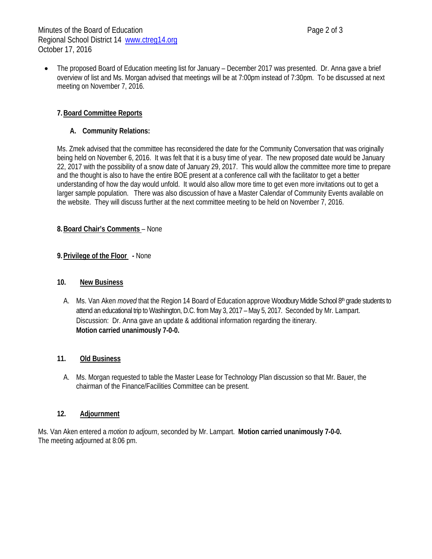• The proposed Board of Education meeting list for January – December 2017 was presented. Dr. Anna gave a brief overview of list and Ms. Morgan advised that meetings will be at 7:00pm instead of 7:30pm. To be discussed at next meeting on November 7, 2016.

## **7.Board Committee Reports**

## **A. Community Relations:**

Ms. Zmek advised that the committee has reconsidered the date for the Community Conversation that was originally being held on November 6, 2016. It was felt that it is a busy time of year. The new proposed date would be January 22, 2017 with the possibility of a snow date of January 29, 2017. This would allow the committee more time to prepare and the thought is also to have the entire BOE present at a conference call with the facilitator to get a better understanding of how the day would unfold. It would also allow more time to get even more invitations out to get a larger sample population. There was also discussion of have a Master Calendar of Community Events available on the website. They will discuss further at the next committee meeting to be held on November 7, 2016.

### **8.Board Chair's Comments** – None

### **9.Privilege of the Floor -** None

#### **10. New Business**

A. Ms. Van Aken *moved* that the Region 14 Board of Education approve Woodbury Middle School 8<sup>th</sup> grade students to attend an educational trip to Washington, D.C. from May 3, 2017 – May 5, 2017. Seconded by Mr. Lampart. Discussion: Dr. Anna gave an update & additional information regarding the itinerary. **Motion carried unanimously 7-0-0.**

## **11. Old Business**

A. Ms. Morgan requested to table the Master Lease for Technology Plan discussion so that Mr. Bauer, the chairman of the Finance/Facilities Committee can be present.

#### **12. Adjournment**

Ms. Van Aken entered a *motion to adjourn*, seconded by Mr. Lampart. **Motion carried unanimously 7-0-0.** The meeting adjourned at 8:06 pm.